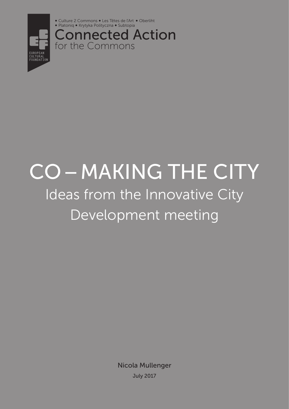



Connected Action for the Commons

# Co–making the city Ideas from the Innovative City Development meeting

Nicola Mullenger July 2017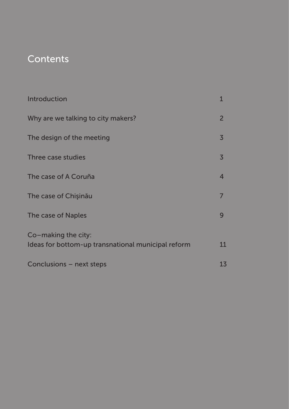# **Contents**

| Introduction                                                              | $\mathbf{1}$   |
|---------------------------------------------------------------------------|----------------|
| Why are we talking to city makers?                                        | $\overline{2}$ |
| The design of the meeting                                                 | $\overline{3}$ |
| Three case studies                                                        | $\overline{3}$ |
| The case of A Coruña                                                      | $\overline{4}$ |
| The case of Chisinău                                                      | 7              |
| The case of Naples                                                        | 9              |
| Co-making the city:<br>Ideas for bottom-up transnational municipal reform | 11             |
| Conclusions – next steps                                                  | 13             |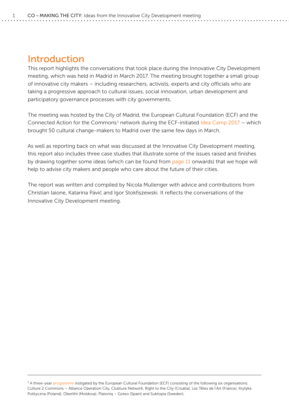## <span id="page-3-0"></span>Introduction

This report highlights the conversations that took place during the Innovative City Development meeting, which was held in Madrid in March 2017. The meeting brought together a small group of innovative city makers – including researchers, activists, experts and city officials who are taking a progressive approach to cultural issues, social innovation, urban development and participatory governance processes with city governments.

The meeting was hosted by the City of Madrid, the European Cultural Foundation (ECF) and the Connected Action for the Commons<sup>1</sup> network during the ECF-initiated [Idea Camp 2017](http://www.culturalfoundation.eu/idea-camp-2017/) – which brought 50 cultural change-makers to Madrid over the same few days in March.

As well as reporting back on what was discussed at the Innovative City Development meeting, this report also includes three case studies that illustrate some of the issues raised and finishes by drawing together some ideas (which can be found from [page 11](#page-13-0) onwards) that we hope will help to advise city makers and people who care about the future of their cities.

The report was written and compiled by Nicola Mullenger with advice and contributions from Christian Iaione, Katarina Pavić and Igor Stokfiszewski. It reflects the conversations of the Innovative City Development meeting.

 $1A$  three-year [programme](http://www.culturalfoundation.eu/connected-action/) instigated by the European Cultural Foundation (ECF) consisting of the following six organisations: Culture 2 Commons – Alliance Operation City, Clubture Network, Right to the City (Croatia), Les Têtes de l'Art (France), Krytyka Polityczna (Poland), Oberliht (Moldova), Platoniq – Goteo (Spain) and Subtopia (Sweden).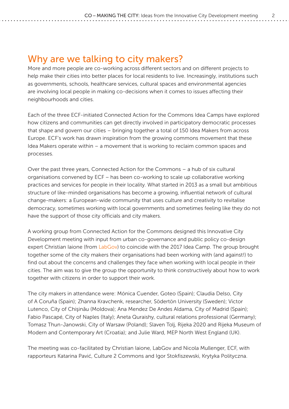# <span id="page-4-0"></span>Why are we talking to city makers?

More and more people are co-working across different sectors and on different projects to help make their cities into better places for local residents to live. Increasingly, institutions such as governments, schools, healthcare services, cultural spaces and environmental agencies are involving local people in making co-decisions when it comes to issues affecting their neighbourhoods and cities.

Each of the three ECF-initiated Connected Action for the Commons Idea Camps have explored how citizens and communities can get directly involved in participatory democratic processes that shape and govern our cities – bringing together a total of 150 Idea Makers from across Europe. ECF's work has drawn inspiration from the growing commons movement that these Idea Makers operate within – a movement that is working to reclaim common spaces and processes.

Over the past three years, Connected Action for the Commons – a hub of six cultural organisations convened by ECF – has been co-working to scale up collaborative working practices and services for people in their locality. What started in 2013 as a small but ambitious structure of like-minded organisations has become a growing, influential network of cultural change-makers: a European-wide community that uses culture and creativity to revitalise democracy, sometimes working with local governments and sometimes feeling like they do not have the support of those city officials and city makers.

A working group from Connected Action for the Commons designed this Innovative City Development meeting with input from urban co-governance and public policy co-design expert Christian Iaione (from [LabGov\)](http://www.labgov.it/) to coincide with the 2017 Idea Camp. The group brought together some of the city makers their organisations had been working with (and against!) to find out about the concerns and challenges they face when working with local people in their cities. The aim was to give the group the opportunity to think constructively about how to work together with citizens in order to support their work.

The city makers in attendance were: Mónica Cuender, Goteo (Spain); Claudia Delso, City of A Coruña (Spain); Zhanna Kravchenk, researcher, Södertön University (Sweden); Victor Lutenco, City of Chişinău (Moldova); Ana Mendez De Andes Aldama, City of Madrid (Spain); Fabio Pascapé, City of Naples (Italy); Aneta Quraishy, cultural relations professional (Germany); Tomasz Thun-Janowski, City of Warsaw (Poland); Slaven Tolj, Rijeka 2020 and Rijeka Museum of Modern and Contemporary Art (Croatia); and Julie Ward, MEP North West England (UK).

The meeting was co-facilitated by Christian Iaione, LabGov and Nicola Mullenger, ECF, with rapporteurs Katarina Pavić, Culture 2 Commons and Igor Stokfiszewski, Krytyka Polityczna.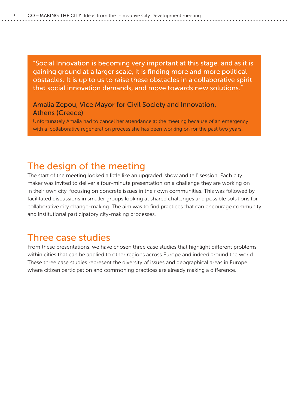<span id="page-5-0"></span>"Social Innovation is becoming very important at this stage, and as it is gaining ground at a larger scale, it is finding more and more political obstacles. It is up to us to raise these obstacles in a collaborative spirit that social innovation demands, and move towards new solutions."

#### Amalia Zepou, Vice Mayor for Civil Society and Innovation, Athens (Greece)

Unfortunately Amalia had to cancel her attendance at the meeting because of an emergency with a collaborative regeneration process she has been working on for the past two years.

# The design of the meeting

The start of the meeting looked a little like an upgraded 'show and tell' session. Each city maker was invited to deliver a four-minute presentation on a challenge they are working on in their own city, focusing on concrete issues in their own communities. This was followed by facilitated discussions in smaller groups looking at shared challenges and possible solutions for collaborative city change-making. The aim was to find practices that can encourage community and institutional participatory city-making processes.

## Three case studies

From these presentations, we have chosen three case studies that highlight different problems within cities that can be applied to other regions across Europe and indeed around the world. These three case studies represent the diversity of issues and geographical areas in Europe where citizen participation and commoning practices are already making a difference.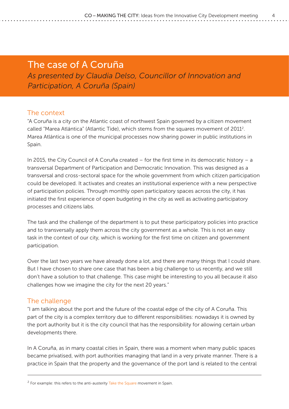## <span id="page-6-0"></span>The case of A Coruña *As presented by Claudia Delso, Councillor of Innovation and Participation, A Coruña (Spain)*

#### The context

"A Coruña is a city on the Atlantic coast of northwest Spain governed by a citizen movement called "Marea Atlántica" (Atlantic Tide), which stems from the squares movement of 2011<sup>2</sup>. Marea Atlántica is one of the municipal processes now sharing power in public institutions in Spain.

In 2015, the City Council of A Coruña created – for the first time in its democratic history – a transversal Department of Participation and Democratic Innovation. This was designed as a transversal and cross-sectoral space for the whole government from which citizen participation could be developed. It activates and creates an institutional experience with a new perspective of participation policies. Through monthly open participatory spaces across the city, it has initiated the first experience of open budgeting in the city as well as activating participatory processes and citizens labs.

The task and the challenge of the department is to put these participatory policies into practice and to transversally apply them across the city government as a whole. This is not an easy task in the context of our city, which is working for the first time on citizen and government participation.

Over the last two years we have already done a lot, and there are many things that I could share. But I have chosen to share one case that has been a big challenge to us recently, and we still don't have a solution to that challenge. This case might be interesting to you all because it also challenges how we imagine the city for the next 20 years."

#### The challenge

"I am talking about the port and the future of the coastal edge of the city of A Coruña. This part of the city is a complex territory due to different responsibilities: nowadays it is owned by the port authority but it is the city council that has the responsibility for allowing certain urban developments there.

In A Coruña, as in many coastal cities in Spain, there was a moment when many public spaces became privatised, with port authorities managing that land in a very private manner. There is a practice in Spain that the property and the governance of the port land is related to the central

 $2$  For example: this refers to the anti-austerity [Take the Square](https://en.wikipedia.org/wiki/Anti-austerity) movement in Spain.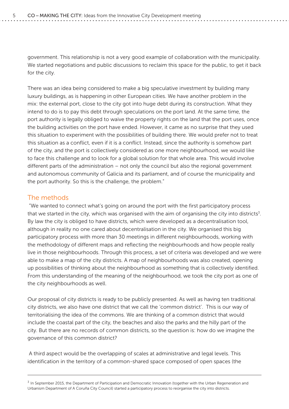government. This relationship is not a very good example of collaboration with the municipality. We started negotiations and public discussions to reclaim this space for the public, to get it back for the city.

There was an idea being considered to make a big speculative investment by building many luxury buildings, as is happening in other European cities. We have another problem in the mix: the external port, close to the city got into huge debt during its construction. What they intend to do is to pay this debt through speculations on the port land. At the same time, the port authority is legally obliged to waive the property rights on the land that the port uses, once the building activities on the port have ended. However, it came as no surprise that they used this situation to experiment with the possibilities of building there. We would prefer not to treat this situation as a conflict, even if it is a conflict. Instead, since the authority is somehow part of the city, and the port is collectively considered as one more neighbourhood, we would like to face this challenge and to look for a global solution for that whole area. This would involve different parts of the administration – not only the council but also the regional government and autonomous community of Galicia and its parliament, and of course the municipality and the port authority. So this is the challenge, the problem."

#### The methods

 "We wanted to connect what's going on around the port with the first participatory process that we started in the city, which was organised with the aim of organising the city into districts<sup>3</sup>. By law the city is obliged to have districts, which were developed as a decentralisation tool, although in reality no one cared about decentralisation in the city. We organised this big participatory process with more than 30 meetings in different neighbourhoods, working with the methodology of different maps and reflecting the neighbourhoods and how people really live in those neighbourhoods. Through this process, a set of criteria was developed and we were able to make a map of the city districts. A map of neighbourhoods was also created, opening up possibilities of thinking about the neighbourhood as something that is collectively identified. From this understanding of the meaning of the neighbourhood, we took the city port as one of the city neighbourhoods as well.

Our proposal of city districts is ready to be publicly presented. As well as having ten traditional city districts, we also have one district that we call the 'common district'. This is our way of territorialising the idea of the commons. We are thinking of a common district that would include the coastal part of the city, the beaches and also the parks and the hilly part of the city. But there are no records of common districts, so the question is: how do we imagine the governance of this common district?

 A third aspect would be the overlapping of scales at administrative and legal levels. This identification in the territory of a common-shared space composed of open spaces (the

 $3$  In September 2015, the Department of Participation and Democratic Innovation (together with the Urban Regeneration and Urbanism Department of A Coruña City Council) started a participatory process to reorganise the city into districts.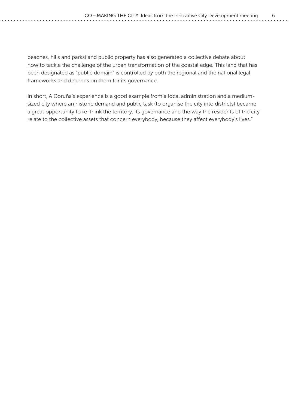beaches, hills and parks) and public property has also generated a collective debate about how to tackle the challenge of the urban transformation of the coastal edge. This land that has been designated as "public domain" is controlled by both the regional and the national legal frameworks and depends on them for its governance.

In short, A Coruña's experience is a good example from a local administration and a mediumsized city where an historic demand and public task [\(to organise the city into districts\)](http://www.coruna.gal/participacion/gl/procesos-participativos/organizacion-en-distritos/mapa-e-informe-proposta-de-distrito) became a great opportunity to re-think the territory, its governance and the way the residents of the city relate to the collective assets that concern everybody, because they affect everybody's lives."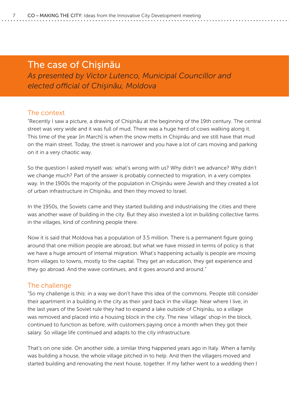## <span id="page-9-0"></span>The case of Chişinău

*As presented by Victor Lutenco, Municipal Councillor and elected official of Chişinău, Moldova*

#### The context

"Recently I saw a picture, a drawing of Chişinău at the beginning of the 19th century. The central street was very wide and it was full of mud. There was a huge herd of cows walking along it. This time of the year [in March] is when the snow melts in Chişinău and we still have that mud on the main street. Today, the street is narrower and you have a lot of cars moving and parking on it in a very chaotic way.

So the question I asked myself was: what's wrong with us? Why didn't we advance? Why didn't we change much? Part of the answer is probably connected to migration, in a very complex way. In the 1900s the majority of the population in Chişinău were Jewish and they created a lot of urban infrastructure in Chişinău, and then they moved to Israel.

In the 1950s, the Soviets came and they started building and industrialising the cities and there was another wave of building in the city. But they also invested a lot in building collective farms in the villages, kind of confining people there.

Now it is said that Moldova has a population of 3.5 million. There is a permanent figure going around that one million people are abroad, but what we have missed in terms of policy is that we have a huge amount of internal migration. What's happening actually is people are moving from villages to towns, mostly to the capital. They get an education, they get experience and they go abroad. And the wave continues, and it goes around and around."

#### The challenge

"So my challenge is this: in a way we don't have this idea of the commons. People still consider their apartment in a building in the city as their yard back in the village. Near where I live, in the last years of the Soviet rule they had to expand a lake outside of Chişinău, so a village was removed and placed into a housing block in the city. The new 'village' shop in the block, continued to function as before, with customers paying once a month when they got their salary. So village life continued and adapts to the city infrastructure.

That's on one side. On another side, a similar thing happened years ago in Italy. When a family was building a house, the whole village pitched in to help. And then the villagers moved and started building and renovating the next house, together. If my father went to a wedding then I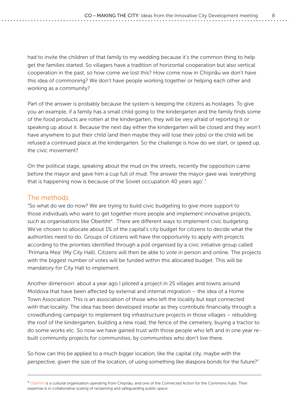had to invite the children of that family to my wedding because it's the common thing to help get the families started. So villagers have a tradition of horizontal cooperation but also vertical cooperation in the past, so how come we lost this? How come now in Chişinău we don't have this idea of commoning? We don't have people working together or helping each other and working as a community?

Part of the answer is probably because the system is keeping the citizens as hostages. To give you an example, if a family has a small child going to the kindergarten and the family finds some of the food products are rotten at the kindergarten, they will be very afraid of reporting it or speaking up about it. Because the next day either the kindergarten will be closed and they won't have anywhere to put their child (and then maybe they will lose their jobs) or the child will be refused a continued place at the kindergarten. So the challenge is how do we start, or speed up, the civic movement?

On the political stage, speaking about the mud on the streets, recently the opposition came before the mayor and gave him a cup full of mud. The answer the mayor gave was 'everything that is happening now is because of the Soviet occupation 40 years ago'."

#### The methods

"So what do we do now? We are trying to build civic budgeting to give more support to those individuals who want to get together more people and implement innovative projects, such as organisations like Oberliht<sup>4</sup>. There are different ways to implement civic budgeting. We've chosen to allocate about 1% of the capital's city budget for citizens to decide what the authorities need to do. Groups of citizens will have the opportunity to apply with projects according to the priorities identified through a poll organised by a civic initiative group called 'Primaria Mea' (My City Hall). Citizens will then be able to vote in person and online. The projects with the biggest number of votes will be funded within this allocated budget. This will be mandatory for City Hall to implement.

Another dimension: about a year ago I piloted a project in 25 villages and towns around Moldova that have been affected by external and internal migration – the idea of a Home Town Association. This is an association of those who left the locality but kept connected with that locality. The idea has been developed insofar as they contribute financially through a crowdfunding campaign to implement big infrastructure projects in those villages – rebuilding the roof of the kindergarten, building a new road, the fence of the cemetery, buying a tractor to do some works etc. So now we have gained trust with those people who left and in one year rebuilt community projects for communities, by communities who don't live there.

So how can this be applied to a much bigger location, like the capital city, maybe with the perspective, given the size of the location, of using something like diaspora bonds for the future?"

<sup>&</sup>lt;sup>4</sup> [Oberliht](http://www.oberliht.com/) is a cultural organisation operating from Chișinău, and one of the Connected Action for the Commons hubs. Their expertise is in collaborative scaling of reclaiming and safeguarding public space.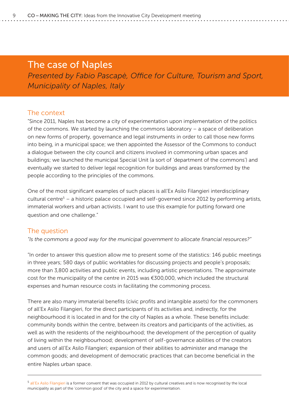### <span id="page-11-0"></span>The case of Naples

*Presented by Fabio Pascapè, Office for Culture, Tourism and Sport, Municipality of Naples, Italy*

#### The context

"Since 2011, Naples has become a city of experimentation upon implementation of the politics of the commons. We started by launching the commons laboratory – a space of deliberation on new forms of property, governance and legal instruments in order to call those new forms into being, in a municipal space; we then appointed the Assessor of the Commons to conduct a dialogue between the city council and citizens involved in commoning urban spaces and buildings; we launched the municipal Special Unit (a sort of 'department of the commons') and eventually we started to deliver legal recognition for buildings and areas transformed by the people according to the principles of the commons.

One of the most significant examples of such places is all'Ex Asilo Filangieri interdisciplinary cultural centre<sup>5</sup> – a historic palace occupied and self-governed since 2012 by performing artists, immaterial workers and urban activists. I want to use this example for putting forward one question and one challenge."

#### The question

*"Is the commons a good way for the municipal government to allocate financial resources?"*

"In order to answer this question allow me to present some of the statistics: 146 public meetings in three years; 580 days of public worktables for discussing projects and people's proposals; more than 3,800 activities and public events, including artistic presentations. The approximate cost for the municipality of the centre in 2015 was €300,000, which included the structural expenses and human resource costs in facilitating the commoning process.

There are also many immaterial benefits (civic profits and intangible assets) for the commoners of all'Ex Asilo Filangieri, for the direct participants of its activities and, indirectly, for the neighbourhood it is located in and for the city of Naples as a whole. These benefits include: community bonds within the centre, between its creators and participants of the activities, as well as with the residents of the neighbourhood; the development of the perception of quality of living within the neighbourhood; development of self-governance abilities of the creators and users of all'Ex Asilo Filangieri; expansion of their abilities to administer and manage the common goods; and development of democratic practices that can become beneficial in the entire Naples urban space.

5 [all'Ex Asilo Filangieri](http://www.exasilofilangieri.it/) is a former convent that was occupied in 2012 by cultural creatives and is now recognised by the local municipality as part of the 'common good' of the city and a space for experimentation.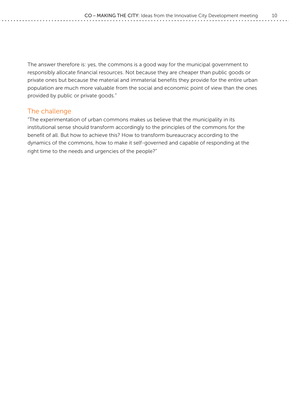The answer therefore is: yes, the commons is a good way for the municipal government to responsibly allocate financial resources. Not because they are cheaper than public goods or private ones but because the material and immaterial benefits they provide for the entire urban population are much more valuable from the social and economic point of view than the ones provided by public or private goods."

#### The challenge

"The experimentation of urban commons makes us believe that the municipality in its institutional sense should transform accordingly to the principles of the commons for the benefit of all. But how to achieve this? How to transform bureaucracy according to the dynamics of the commons, how to make it self-governed and capable of responding at the right time to the needs and urgencies of the people?"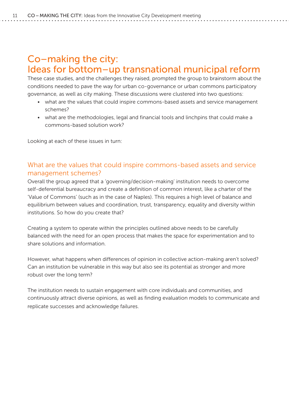# <span id="page-13-0"></span>Co–making the city: Ideas for bottom–up transnational municipal reform

These case studies, and the challenges they raised, prompted the group to brainstorm about the conditions needed to pave the way for urban co-governance or urban commons participatory governance, as well as city making. These discussions were clustered into two questions:

- what are the values that could inspire commons-based assets and service management schemes?
- what are the methodologies, legal and financial tools and linchpins that could make a commons-based solution work?

Looking at each of these issues in turn:

#### What are the values that could inspire commons-based assets and service management schemes?

Overall the group agreed that a 'governing/decision-making' institution needs to overcome self-deferential bureaucracy and create a definition of common interest, like a charter of the 'Value of Commons' (such as in the case of Naples). This requires a high level of balance and equilibrium between values and coordination, trust, transparency, equality and diversity within institutions. So how do you create that?

Creating a system to operate within the principles outlined above needs to be carefully balanced with the need for an open process that makes the space for experimentation and to share solutions and information.

However, what happens when differences of opinion in collective action-making aren't solved? Can an institution be vulnerable in this way but also see its potential as stronger and more robust over the long term?

The institution needs to sustain engagement with core individuals and communities, and continuously attract diverse opinions, as well as finding evaluation models to communicate and replicate successes and acknowledge failures.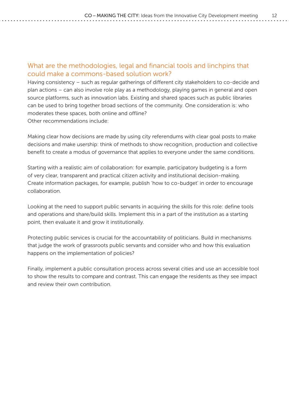#### What are the methodologies, legal and financial tools and linchpins that could make a commons-based solution work?

Having consistency – such as regular gatherings of different city stakeholders to co-decide and plan actions – can also involve role play as a methodology, playing games in general and open source platforms, such as innovation labs. Existing and shared spaces such as public libraries can be used to bring together broad sections of the community. One consideration is: who moderates these spaces, both online and offline? Other recommendations include:

Making clear how decisions are made by using city referendums with clear goal posts to make decisions and make usership: think of methods to show recognition, production and collective benefit to create a modus of governance that applies to everyone under the same conditions.

Starting with a realistic aim of collaboration: for example, participatory budgeting is a form of very clear, transparent and practical citizen activity and institutional decision-making. Create information packages, for example, publish 'how to co-budget' in order to encourage collaboration.

Looking at the need to support public servants in acquiring the skills for this role: define tools and operations and share/build skills. Implement this in a part of the institution as a starting point, then evaluate it and grow it institutionally.

Protecting public services is crucial for the accountability of politicians. Build in mechanisms that judge the work of grassroots public servants and consider who and how this evaluation happens on the implementation of policies?

Finally, implement a public consultation process across several cities and use an accessible tool to show the results to compare and contrast. This can engage the residents as they see impact and review their own contribution.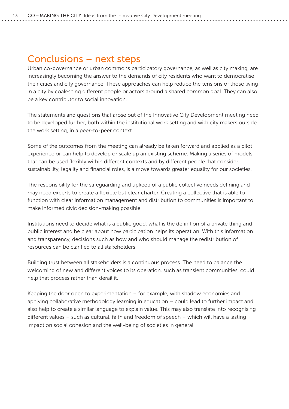# <span id="page-15-0"></span>Conclusions – next steps

Urban co-governance or urban commons participatory governance, as well as city making, are increasingly becoming the answer to the demands of city residents who want to democratise their cities and city governance. These approaches can help reduce the tensions of those living in a city by coalescing different people or actors around a shared common goal. They can also be a key contributor to social innovation.

The statements and questions that arose out of the Innovative City Development meeting need to be developed further, both within the institutional work setting and with city makers outside the work setting, in a peer-to-peer context.

Some of the outcomes from the meeting can already be taken forward and applied as a pilot experience or can help to develop or scale up an existing scheme. Making a series of models that can be used flexibly within different contexts and by different people that consider sustainability, legality and financial roles, is a move towards greater equality for our societies.

The responsibility for the safeguarding and upkeep of a public collective needs defining and may need experts to create a flexible but clear charter. Creating a collective that is able to function with clear information management and distribution to communities is important to make informed civic decision-making possible.

Institutions need to decide what is a public good, what is the definition of a private thing and public interest and be clear about how participation helps its operation. With this information and transparency, decisions such as how and who should manage the redistribution of resources can be clarified to all stakeholders.

Building trust between all stakeholders is a continuous process. The need to balance the welcoming of new and different voices to its operation, such as transient communities, could help that process rather than derail it.

Keeping the door open to experimentation – for example, with shadow economies and applying collaborative methodology learning in education – could lead to further impact and also help to create a similar language to explain value. This may also translate into recognising different values – such as cultural, faith and freedom of speech – which will have a lasting impact on social cohesion and the well-being of societies in general.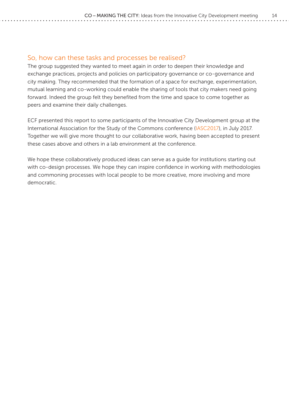#### So, how can these tasks and processes be realised?

The group suggested they wanted to meet again in order to deepen their knowledge and exchange practices, projects and policies on participatory governance or co-governance and city making. They recommended that the formation of a space for exchange, experimentation, mutual learning and co-working could enable the sharing of tools that city makers need going forward. Indeed the group felt they benefited from the time and space to come together as peers and examine their daily challenges.

ECF presented this report to some participants of the Innovative City Development group at the International Association for the Study of the Commons conference [\(IASC2017\)](https://www.iasc2017.org/), in July 2017. Together we will give more thought to our collaborative work, having been accepted to present these cases above and others in a lab environment at the conference.

We hope these collaboratively produced ideas can serve as a guide for institutions starting out with co-design processes. We hope they can inspire confidence in working with methodologies and commoning processes with local people to be more creative, more involving and more democratic.